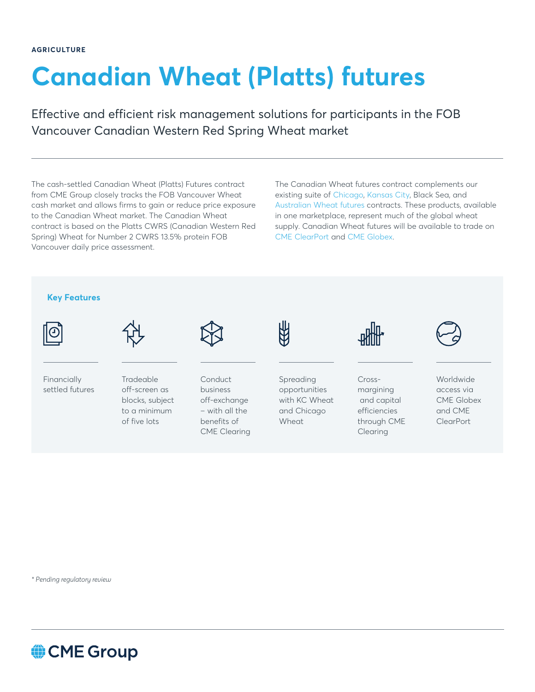## **Canadian Wheat (Platts) futures**

Effective and efficient risk management solutions for participants in the FOB Vancouver Canadian Western Red Spring Wheat market

The cash-settled Canadian Wheat (Platts) Futures contract from CME Group closely tracks the FOB Vancouver Wheat cash market and allows firms to gain or reduce price exposure to the Canadian Wheat market. The Canadian Wheat contract is based on the Platts CWRS (Canadian Western Red Spring) Wheat for Number 2 CWRS 13.5% protein FOB Vancouver daily price assessment.

The Canadian Wheat futures contract complements our existing suite of [Chicago,](http://www.cmegroup.com/trading/agricultural/grain-and-oilseed/wheat.html) [Kansas](http://www.cmegroup.com/trading/agricultural/grain-and-oilseed/kc-wheat.html) City, Black Sea, and [Australian Wheat futures](https://www.cmegroup.com/markets/agriculture/grains/australian-wheat-fob-platts-futures.quotes.html) contracts. These products, available in one marketplace, represent much of the global wheat supply. Canadian Wheat futures will be available to trade on [CME ClearPort](https://www.cmegroup.com/clearport.html) and [CME Globex.](http://www.cmegroup.com/globex.html)



*\* Pending regulatory review*

CME Group